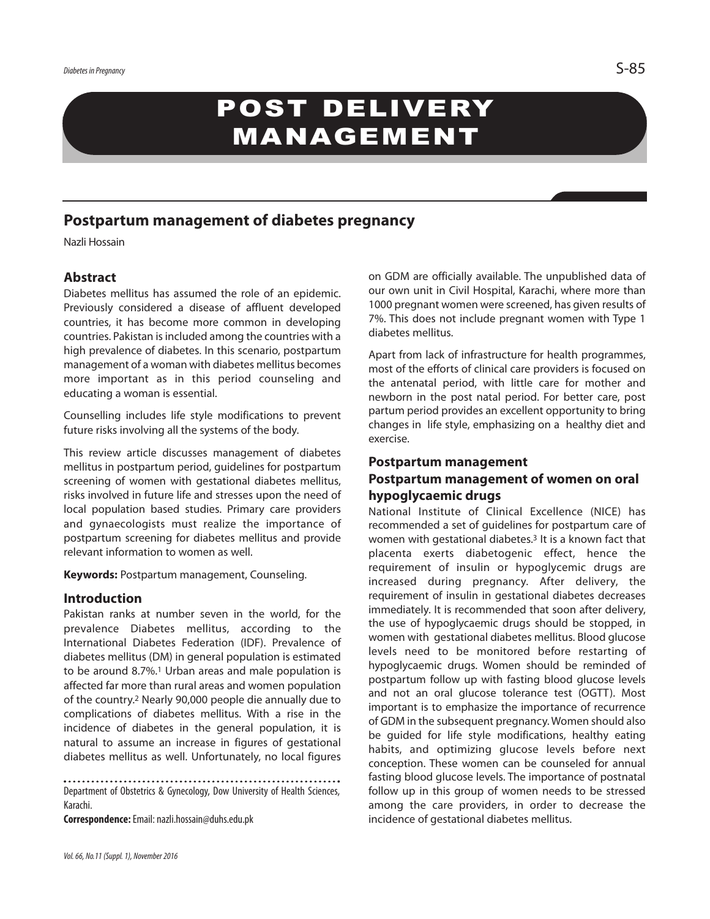# POST DELIVERY MANAGEMENT

# **Postpartum management of diabetes pregnancy**

Nazli Hossain

## **Abstract**

Diabetes mellitus has assumed the role of an epidemic. Previously considered a disease of affluent developed countries, it has become more common in developing countries. Pakistan is included among the countries with a high prevalence of diabetes. In this scenario, postpartum management of a woman with diabetes mellitus becomes more important as in this period counseling and educating a woman is essential.

Counselling includes life style modifications to prevent future risks involving all the systems of the body.

This review article discusses management of diabetes mellitus in postpartum period, guidelines for postpartum screening of women with gestational diabetes mellitus, risks involved in future life and stresses upon the need of local population based studies. Primary care providers and gynaecologists must realize the importance of postpartum screening for diabetes mellitus and provide relevant information to women as well.

**Keywords:** Postpartum management, Counseling.

#### **Introduction**

Pakistan ranks at number seven in the world, for the prevalence Diabetes mellitus, according to the International Diabetes Federation (IDF). Prevalence of diabetes mellitus (DM) in general population is estimated to be around 8.7%. <sup>1</sup> Urban areas and male population is affected far more than rural areas and women population of the country. <sup>2</sup> Nearly 90,000 people die annually due to complications of diabetes mellitus. With a rise in the incidence of diabetes in the general population, it is natural to assume an increase in figures of gestational diabetes mellitus as well. Unfortunately, no local figures

. . . . . . . . . . . . . . . . . . . Department of Obstetrics & Gynecology, Dow University of Health Sciences, Karachi.

**Correspondence:**Email: nazli.hossain@duhs.edu.pk

on GDM are officially available. The unpublished data of our own unit in Civil Hospital, Karachi, where more than 1000 pregnant women were screened, has given results of 7%. This does not include pregnant women with Type 1 diabetes mellitus.

Apart from lack of infrastructure for health programmes, most of the efforts of clinical care providers is focused on the antenatal period, with little care for mother and newborn in the post natal period. For better care, post partum period provides an excellent opportunity to bring changes in life style, emphasizing on a healthy diet and exercise.

#### **Postpartum management**

## **Postpartum management of women on oral hypoglycaemic drugs**

National Institute of Clinical Excellence (NICE) has recommended a set of guidelines for postpartum care of women with gestational diabetes. <sup>3</sup> It is a known fact that placenta exerts diabetogenic effect, hence the requirement of insulin or hypoglycemic drugs are increased during pregnancy. After delivery, the requirement of insulin in gestational diabetes decreases immediately. It is recommended that soon after delivery, the use of hypoglycaemic drugs should be stopped, in women with gestational diabetes mellitus. Blood glucose levels need to be monitored before restarting of hypoglycaemic drugs. Women should be reminded of postpartum follow up with fasting blood glucose levels and not an oral glucose tolerance test (OGTT). Most important is to emphasize the importance of recurrence of GDM in the subsequent pregnancy. Women should also be guided for life style modifications, healthy eating habits, and optimizing glucose levels before next conception. These women can be counseled for annual fasting blood glucose levels. The importance of postnatal follow up in this group of women needs to be stressed among the care providers, in order to decrease the incidence of gestational diabetes mellitus.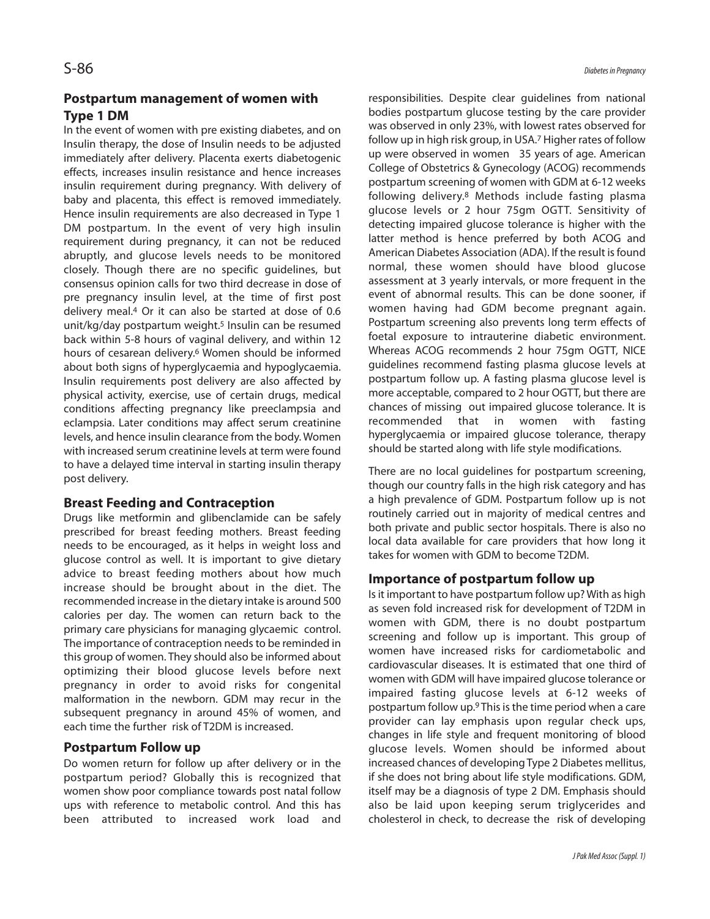## **Postpartum management of women with Type 1 DM**

In the event of women with pre existing diabetes, and on Insulin therapy, the dose of Insulin needs to be adjusted immediately after delivery. Placenta exerts diabetogenic effects, increases insulin resistance and hence increases insulin requirement during pregnancy. With delivery of baby and placenta, this effect is removed immediately. Hence insulin requirements are also decreased in Type 1 DM postpartum. In the event of very high insulin requirement during pregnancy, it can not be reduced abruptly, and glucose levels needs to be monitored closely. Though there are no specific guidelines, but consensus opinion calls for two third decrease in dose of pre pregnancy insulin level, at the time of first post delivery meal. <sup>4</sup> Or it can also be started at dose of 0.6 unit/kg/day postpartum weight. <sup>5</sup> Insulin can be resumed back within 5-8 hours of vaginal delivery, and within 12 hours of cesarean delivery. <sup>6</sup> Women should be informed about both signs of hyperglycaemia and hypoglycaemia. Insulin requirements post delivery are also affected by physical activity, exercise, use of certain drugs, medical conditions affecting pregnancy like preeclampsia and eclampsia. Later conditions may affect serum creatinine levels, and hence insulin clearance from the body. Women with increased serum creatinine levels at term were found to have a delayed time interval in starting insulin therapy post delivery.

## **Breast Feeding and Contraception**

Drugs like metformin and glibenclamide can be safely prescribed for breast feeding mothers. Breast feeding needs to be encouraged, as it helps in weight loss and glucose control as well. It is important to give dietary advice to breast feeding mothers about how much increase should be brought about in the diet. The recommended increase in the dietary intake is around 500 calories per day. The women can return back to the primary care physicians for managing glycaemic control. The importance of contraception needs to be reminded in this group of women. They should also be informed about optimizing their blood glucose levels before next pregnancy in order to avoid risks for congenital malformation in the newborn. GDM may recur in the subsequent pregnancy in around 45% of women, and each time the further risk of T2DM is increased.

## **Postpartum Follow up**

Do women return for follow up after delivery or in the postpartum period? Globally this is recognized that women show poor compliance towards post natal follow ups with reference to metabolic control. And this has been attributed to increased work load and

responsibilities. Despite clear guidelines from national bodies postpartum glucose testing by the care provider was observed in only 23%, with lowest rates observed for follow up in high risk group, in USA. <sup>7</sup> Higher rates of follow up were observed in women 35 years of age. American College of Obstetrics & Gynecology (ACOG) recommends postpartum screening of women with GDM at 6-12 weeks following delivery. <sup>8</sup> Methods include fasting plasma glucose levels or 2 hour 75gm OGTT. Sensitivity of detecting impaired glucose tolerance is higher with the latter method is hence preferred by both ACOG and American Diabetes Association (ADA). If the result is found normal, these women should have blood glucose assessment at 3 yearly intervals, or more frequent in the event of abnormal results. This can be done sooner, if women having had GDM become pregnant again. Postpartum screening also prevents long term effects of foetal exposure to intrauterine diabetic environment. Whereas ACOG recommends 2 hour 75gm OGTT, NICE guidelines recommend fasting plasma glucose levels at postpartum follow up. A fasting plasma glucose level is more acceptable, compared to 2 hour OGTT, but there are chances of missing out impaired glucose tolerance. It is recommended that in women with fasting hyperglycaemia or impaired glucose tolerance, therapy should be started along with life style modifications.

There are no local guidelines for postpartum screening, though our country falls in the high risk category and has a high prevalence of GDM. Postpartum follow up is not routinely carried out in majority of medical centres and both private and public sector hospitals. There is also no local data available for care providers that how long it takes for women with GDM to become T2DM.

## **Importance of postpartum follow up**

Is it important to have postpartum follow up? With as high as seven fold increased risk for development of T2DM in women with GDM, there is no doubt postpartum screening and follow up is important. This group of women have increased risks for cardiometabolic and cardiovascular diseases. It is estimated that one third of women with GDM will have impaired glucose tolerance or impaired fasting glucose levels at 6-12 weeks of postpartum follow up.<sup>9</sup> This is the time period when a care provider can lay emphasis upon regular check ups, changes in life style and frequent monitoring of blood glucose levels. Women should be informed about increased chances of developing Type 2 Diabetes mellitus, if she does not bring about life style modifications. GDM, itself may be a diagnosis of type 2 DM. Emphasis should also be laid upon keeping serum triglycerides and cholesterol in check, to decrease the risk of developing